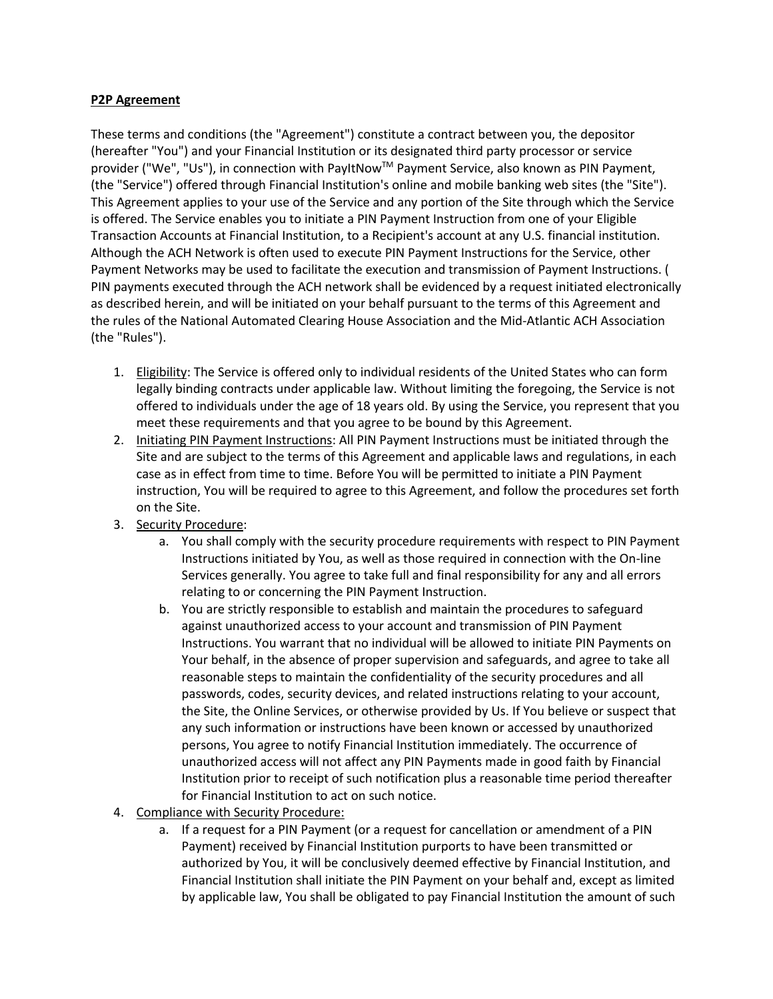## **P2P Agreement**

These terms and conditions (the "Agreement") constitute a contract between you, the depositor (hereafter "You") and your Financial Institution or its designated third party processor or service provider ("We", "Us"), in connection with PayItNow™ Payment Service, also known as PIN Payment, (the "Service") offered through Financial Institution's online and mobile banking web sites (the "Site"). This Agreement applies to your use of the Service and any portion of the Site through which the Service is offered. The Service enables you to initiate a PIN Payment Instruction from one of your Eligible Transaction Accounts at Financial Institution, to a Recipient's account at any U.S. financial institution. Although the ACH Network is often used to execute PIN Payment Instructions for the Service, other Payment Networks may be used to facilitate the execution and transmission of Payment Instructions. ( PIN payments executed through the ACH network shall be evidenced by a request initiated electronically as described herein, and will be initiated on your behalf pursuant to the terms of this Agreement and the rules of the National Automated Clearing House Association and the Mid-Atlantic ACH Association (the "Rules").

- 1. Eligibility: The Service is offered only to individual residents of the United States who can form legally binding contracts under applicable law. Without limiting the foregoing, the Service is not offered to individuals under the age of 18 years old. By using the Service, you represent that you meet these requirements and that you agree to be bound by this Agreement.
- 2. Initiating PIN Payment Instructions: All PIN Payment Instructions must be initiated through the Site and are subject to the terms of this Agreement and applicable laws and regulations, in each case as in effect from time to time. Before You will be permitted to initiate a PIN Payment instruction, You will be required to agree to this Agreement, and follow the procedures set forth on the Site.
- 3. Security Procedure:
	- a. You shall comply with the security procedure requirements with respect to PIN Payment Instructions initiated by You, as well as those required in connection with the On-line Services generally. You agree to take full and final responsibility for any and all errors relating to or concerning the PIN Payment Instruction.
	- b. You are strictly responsible to establish and maintain the procedures to safeguard against unauthorized access to your account and transmission of PIN Payment Instructions. You warrant that no individual will be allowed to initiate PIN Payments on Your behalf, in the absence of proper supervision and safeguards, and agree to take all reasonable steps to maintain the confidentiality of the security procedures and all passwords, codes, security devices, and related instructions relating to your account, the Site, the Online Services, or otherwise provided by Us. If You believe or suspect that any such information or instructions have been known or accessed by unauthorized persons, You agree to notify Financial Institution immediately. The occurrence of unauthorized access will not affect any PIN Payments made in good faith by Financial Institution prior to receipt of such notification plus a reasonable time period thereafter for Financial Institution to act on such notice.
- 4. Compliance with Security Procedure:
	- a. If a request for a PIN Payment (or a request for cancellation or amendment of a PIN Payment) received by Financial Institution purports to have been transmitted or authorized by You, it will be conclusively deemed effective by Financial Institution, and Financial Institution shall initiate the PIN Payment on your behalf and, except as limited by applicable law, You shall be obligated to pay Financial Institution the amount of such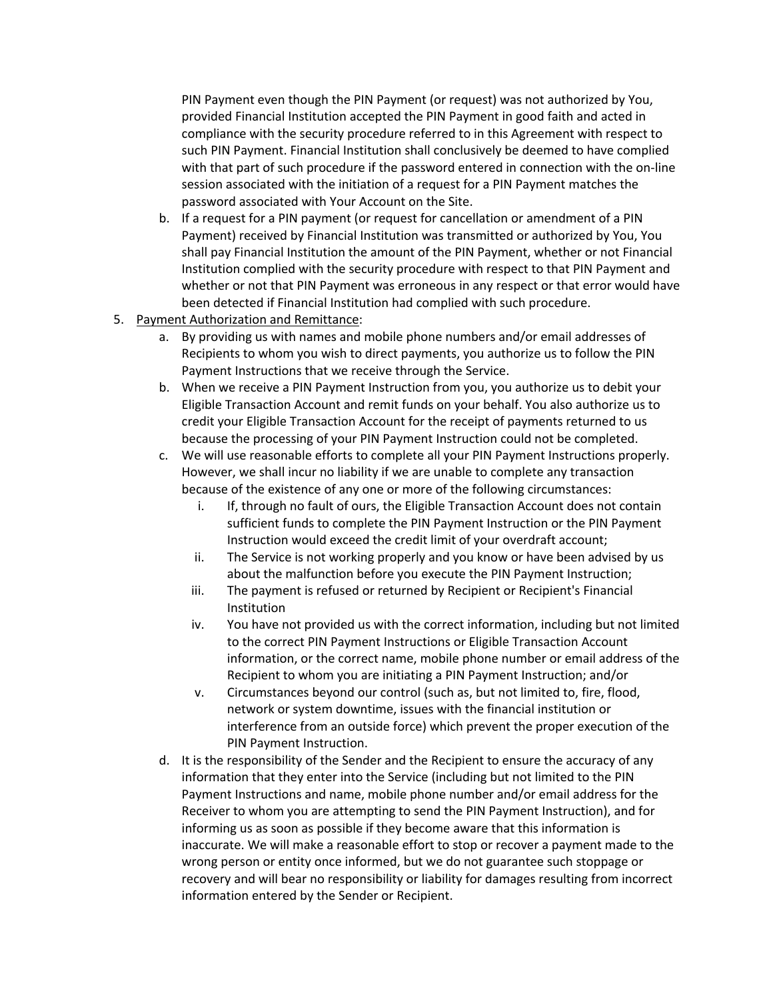PIN Payment even though the PIN Payment (or request) was not authorized by You, provided Financial Institution accepted the PIN Payment in good faith and acted in compliance with the security procedure referred to in this Agreement with respect to such PIN Payment. Financial Institution shall conclusively be deemed to have complied with that part of such procedure if the password entered in connection with the on-line session associated with the initiation of a request for a PIN Payment matches the password associated with Your Account on the Site.

- b. If a request for a PIN payment (or request for cancellation or amendment of a PIN Payment) received by Financial Institution was transmitted or authorized by You, You shall pay Financial Institution the amount of the PIN Payment, whether or not Financial Institution complied with the security procedure with respect to that PIN Payment and whether or not that PIN Payment was erroneous in any respect or that error would have been detected if Financial Institution had complied with such procedure.
- 5. Payment Authorization and Remittance:
	- a. By providing us with names and mobile phone numbers and/or email addresses of Recipients to whom you wish to direct payments, you authorize us to follow the PIN Payment Instructions that we receive through the Service.
	- b. When we receive a PIN Payment Instruction from you, you authorize us to debit your Eligible Transaction Account and remit funds on your behalf. You also authorize us to credit your Eligible Transaction Account for the receipt of payments returned to us because the processing of your PIN Payment Instruction could not be completed.
	- c. We will use reasonable efforts to complete all your PIN Payment Instructions properly. However, we shall incur no liability if we are unable to complete any transaction because of the existence of any one or more of the following circumstances:
		- i. If, through no fault of ours, the Eligible Transaction Account does not contain sufficient funds to complete the PIN Payment Instruction or the PIN Payment Instruction would exceed the credit limit of your overdraft account;
		- ii. The Service is not working properly and you know or have been advised by us about the malfunction before you execute the PIN Payment Instruction;
		- iii. The payment is refused or returned by Recipient or Recipient's Financial Institution
		- iv. You have not provided us with the correct information, including but not limited to the correct PIN Payment Instructions or Eligible Transaction Account information, or the correct name, mobile phone number or email address of the Recipient to whom you are initiating a PIN Payment Instruction; and/or
		- v. Circumstances beyond our control (such as, but not limited to, fire, flood, network or system downtime, issues with the financial institution or interference from an outside force) which prevent the proper execution of the PIN Payment Instruction.
	- d. It is the responsibility of the Sender and the Recipient to ensure the accuracy of any information that they enter into the Service (including but not limited to the PIN Payment Instructions and name, mobile phone number and/or email address for the Receiver to whom you are attempting to send the PIN Payment Instruction), and for informing us as soon as possible if they become aware that this information is inaccurate. We will make a reasonable effort to stop or recover a payment made to the wrong person or entity once informed, but we do not guarantee such stoppage or recovery and will bear no responsibility or liability for damages resulting from incorrect information entered by the Sender or Recipient.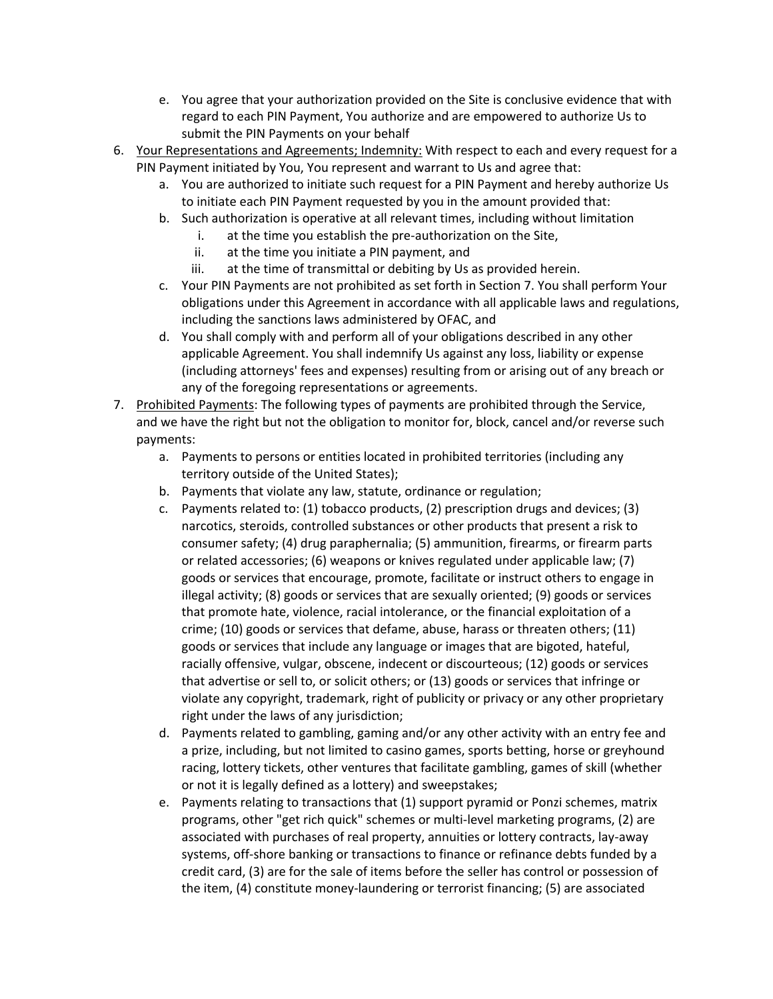- e. You agree that your authorization provided on the Site is conclusive evidence that with regard to each PIN Payment, You authorize and are empowered to authorize Us to submit the PIN Payments on your behalf
- 6. Your Representations and Agreements; Indemnity: With respect to each and every request for a PIN Payment initiated by You, You represent and warrant to Us and agree that:
	- a. You are authorized to initiate such request for a PIN Payment and hereby authorize Us to initiate each PIN Payment requested by you in the amount provided that:
	- b. Such authorization is operative at all relevant times, including without limitation
		- i. at the time you establish the pre-authorization on the Site,
		- ii. at the time you initiate a PIN payment, and
		- iii. at the time of transmittal or debiting by Us as provided herein.
	- c. Your PIN Payments are not prohibited as set forth in Section 7. You shall perform Your obligations under this Agreement in accordance with all applicable laws and regulations, including the sanctions laws administered by OFAC, and
	- d. You shall comply with and perform all of your obligations described in any other applicable Agreement. You shall indemnify Us against any loss, liability or expense (including attorneys' fees and expenses) resulting from or arising out of any breach or any of the foregoing representations or agreements.
- 7. Prohibited Payments: The following types of payments are prohibited through the Service, and we have the right but not the obligation to monitor for, block, cancel and/or reverse such payments:
	- a. Payments to persons or entities located in prohibited territories (including any territory outside of the United States);
	- b. Payments that violate any law, statute, ordinance or regulation;
	- c. Payments related to: (1) tobacco products, (2) prescription drugs and devices; (3) narcotics, steroids, controlled substances or other products that present a risk to consumer safety; (4) drug paraphernalia; (5) ammunition, firearms, or firearm parts or related accessories; (6) weapons or knives regulated under applicable law; (7) goods or services that encourage, promote, facilitate or instruct others to engage in illegal activity; (8) goods or services that are sexually oriented; (9) goods or services that promote hate, violence, racial intolerance, or the financial exploitation of a crime; (10) goods or services that defame, abuse, harass or threaten others; (11) goods or services that include any language or images that are bigoted, hateful, racially offensive, vulgar, obscene, indecent or discourteous; (12) goods or services that advertise or sell to, or solicit others; or (13) goods or services that infringe or violate any copyright, trademark, right of publicity or privacy or any other proprietary right under the laws of any jurisdiction;
	- d. Payments related to gambling, gaming and/or any other activity with an entry fee and a prize, including, but not limited to casino games, sports betting, horse or greyhound racing, lottery tickets, other ventures that facilitate gambling, games of skill (whether or not it is legally defined as a lottery) and sweepstakes;
	- e. Payments relating to transactions that (1) support pyramid or Ponzi schemes, matrix programs, other "get rich quick" schemes or multi-level marketing programs, (2) are associated with purchases of real property, annuities or lottery contracts, lay-away systems, off-shore banking or transactions to finance or refinance debts funded by a credit card, (3) are for the sale of items before the seller has control or possession of the item, (4) constitute money-laundering or terrorist financing; (5) are associated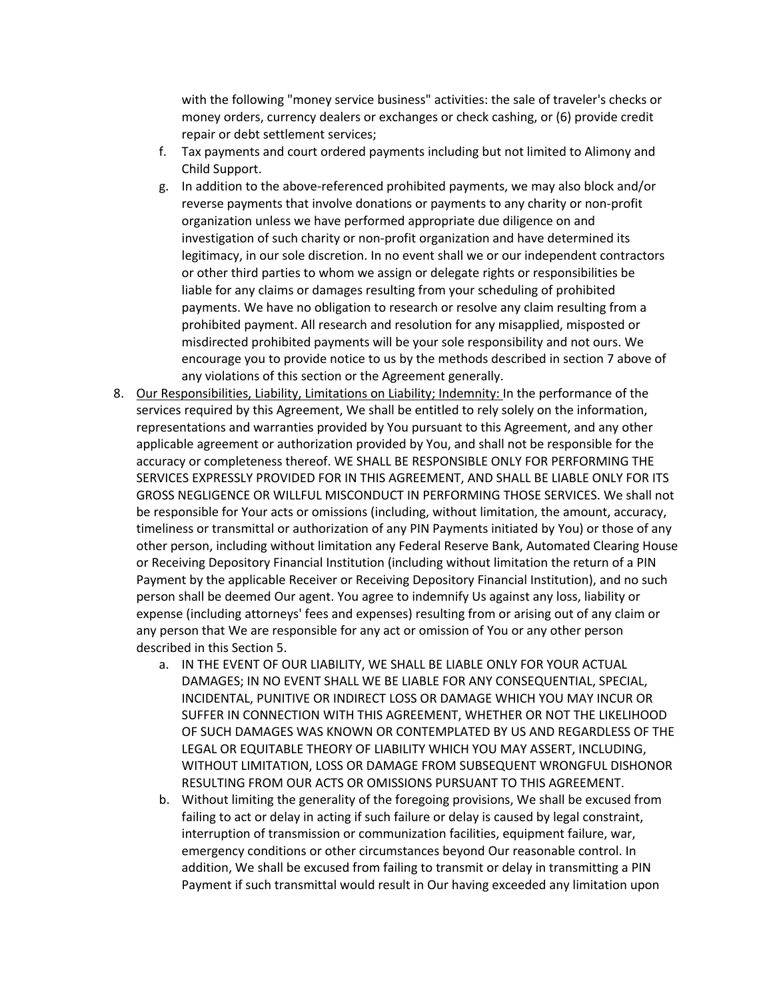with the following "money service business" activities: the sale of traveler's checks or money orders, currency dealers or exchanges or check cashing, or (6) provide credit repair or debt settlement services;

- f. Tax payments and court ordered payments including but not limited to Alimony and Child Support.
- g. In addition to the above-referenced prohibited payments, we may also block and/or reverse payments that involve donations or payments to any charity or non-profit organization unless we have performed appropriate due diligence on and investigation of such charity or non-profit organization and have determined its legitimacy, in our sole discretion. In no event shall we or our independent contractors or other third parties to whom we assign or delegate rights or responsibilities be liable for any claims or damages resulting from your scheduling of prohibited payments. We have no obligation to research or resolve any claim resulting from a prohibited payment. All research and resolution for any misapplied, misposted or misdirected prohibited payments will be your sole responsibility and not ours. We encourage you to provide notice to us by the methods described in section 7 above of any violations of this section or the Agreement generally.
- 8. Our Responsibilities, Liability, Limitations on Liability; Indemnity: In the performance of the services required by this Agreement, We shall be entitled to rely solely on the information, representations and warranties provided by You pursuant to this Agreement, and any other applicable agreement or authorization provided by You, and shall not be responsible for the accuracy or completeness thereof. WE SHALL BE RESPONSIBLE ONLY FOR PERFORMING THE SERVICES EXPRESSLY PROVIDED FOR IN THIS AGREEMENT, AND SHALL BE LIABLE ONLY FOR ITS GROSS NEGLIGENCE OR WILLFUL MISCONDUCT IN PERFORMING THOSE SERVICES. We shall not be responsible for Your acts or omissions (including, without limitation, the amount, accuracy, timeliness or transmittal or authorization of any PIN Payments initiated by You) or those of any other person, including without limitation any Federal Reserve Bank, Automated Clearing House or Receiving Depository Financial Institution (including without limitation the return of a PIN Payment by the applicable Receiver or Receiving Depository Financial Institution), and no such person shall be deemed Our agent. You agree to indemnify Us against any loss, liability or expense (including attorneys' fees and expenses) resulting from or arising out of any claim or any person that We are responsible for any act or omission of You or any other person described in this Section 5.
	- a. IN THE EVENT OF OUR LIABILITY, WE SHALL BE LIABLE ONLY FOR YOUR ACTUAL DAMAGES; IN NO EVENT SHALL WE BE LIABLE FOR ANY CONSEQUENTIAL, SPECIAL, INCIDENTAL, PUNITIVE OR INDIRECT LOSS OR DAMAGE WHICH YOU MAY INCUR OR SUFFER IN CONNECTION WITH THIS AGREEMENT, WHETHER OR NOT THE LIKELIHOOD OF SUCH DAMAGES WAS KNOWN OR CONTEMPLATED BY US AND REGARDLESS OF THE LEGAL OR EQUITABLE THEORY OF LIABILITY WHICH YOU MAY ASSERT, INCLUDING, WITHOUT LIMITATION, LOSS OR DAMAGE FROM SUBSEQUENT WRONGFUL DISHONOR RESULTING FROM OUR ACTS OR OMISSIONS PURSUANT TO THIS AGREEMENT.
	- b. Without limiting the generality of the foregoing provisions, We shall be excused from failing to act or delay in acting if such failure or delay is caused by legal constraint, interruption of transmission or communization facilities, equipment failure, war, emergency conditions or other circumstances beyond Our reasonable control. In addition, We shall be excused from failing to transmit or delay in transmitting a PIN Payment if such transmittal would result in Our having exceeded any limitation upon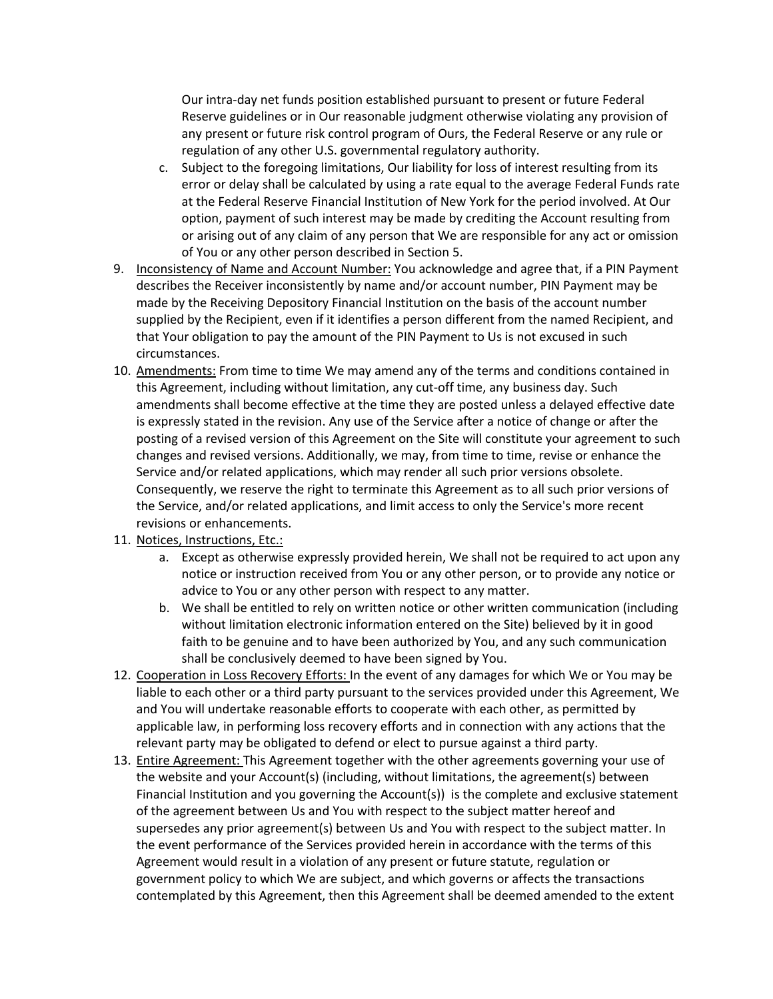Our intra-day net funds position established pursuant to present or future Federal Reserve guidelines or in Our reasonable judgment otherwise violating any provision of any present or future risk control program of Ours, the Federal Reserve or any rule or regulation of any other U.S. governmental regulatory authority.

- c. Subject to the foregoing limitations, Our liability for loss of interest resulting from its error or delay shall be calculated by using a rate equal to the average Federal Funds rate at the Federal Reserve Financial Institution of New York for the period involved. At Our option, payment of such interest may be made by crediting the Account resulting from or arising out of any claim of any person that We are responsible for any act or omission of You or any other person described in Section 5.
- 9. Inconsistency of Name and Account Number: You acknowledge and agree that, if a PIN Payment describes the Receiver inconsistently by name and/or account number, PIN Payment may be made by the Receiving Depository Financial Institution on the basis of the account number supplied by the Recipient, even if it identifies a person different from the named Recipient, and that Your obligation to pay the amount of the PIN Payment to Us is not excused in such circumstances.
- 10. Amendments: From time to time We may amend any of the terms and conditions contained in this Agreement, including without limitation, any cut-off time, any business day. Such amendments shall become effective at the time they are posted unless a delayed effective date is expressly stated in the revision. Any use of the Service after a notice of change or after the posting of a revised version of this Agreement on the Site will constitute your agreement to such changes and revised versions. Additionally, we may, from time to time, revise or enhance the Service and/or related applications, which may render all such prior versions obsolete. Consequently, we reserve the right to terminate this Agreement as to all such prior versions of the Service, and/or related applications, and limit access to only the Service's more recent revisions or enhancements.
- 11. Notices, Instructions, Etc.:
	- a. Except as otherwise expressly provided herein, We shall not be required to act upon any notice or instruction received from You or any other person, or to provide any notice or advice to You or any other person with respect to any matter.
	- b. We shall be entitled to rely on written notice or other written communication (including without limitation electronic information entered on the Site) believed by it in good faith to be genuine and to have been authorized by You, and any such communication shall be conclusively deemed to have been signed by You.
- 12. Cooperation in Loss Recovery Efforts: In the event of any damages for which We or You may be liable to each other or a third party pursuant to the services provided under this Agreement, We and You will undertake reasonable efforts to cooperate with each other, as permitted by applicable law, in performing loss recovery efforts and in connection with any actions that the relevant party may be obligated to defend or elect to pursue against a third party.
- 13. Entire Agreement: This Agreement together with the other agreements governing your use of the website and your Account(s) (including, without limitations, the agreement(s) between Financial Institution and you governing the Account(s)) is the complete and exclusive statement of the agreement between Us and You with respect to the subject matter hereof and supersedes any prior agreement(s) between Us and You with respect to the subject matter. In the event performance of the Services provided herein in accordance with the terms of this Agreement would result in a violation of any present or future statute, regulation or government policy to which We are subject, and which governs or affects the transactions contemplated by this Agreement, then this Agreement shall be deemed amended to the extent